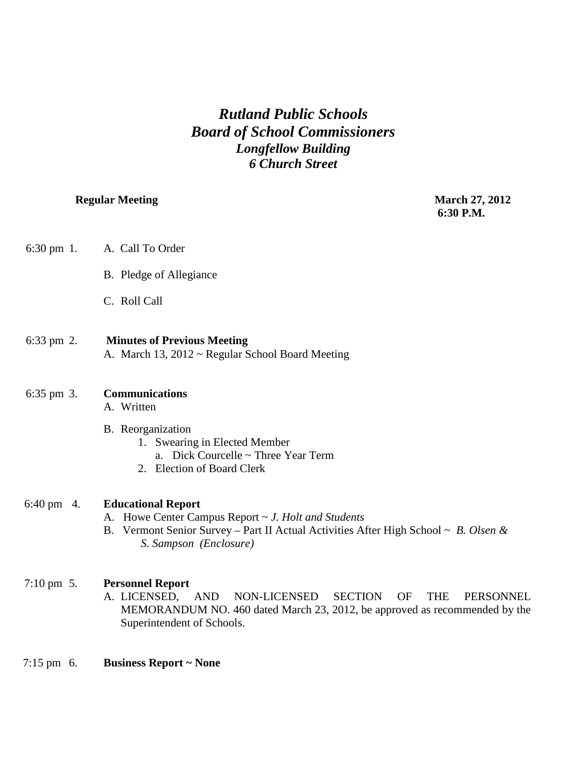# *Rutland Public Schools Board of School Commissioners Longfellow Building 6 Church Street*

**Regular Meeting March 27, 2012 6:30 P.M.**

| $6:30 \text{ pm } 1$ . | A. Call To Order                                                                                                                                                                                                                            |
|------------------------|---------------------------------------------------------------------------------------------------------------------------------------------------------------------------------------------------------------------------------------------|
|                        | B. Pledge of Allegiance                                                                                                                                                                                                                     |
|                        | C. Roll Call                                                                                                                                                                                                                                |
| $6:33 \text{ pm } 2$ . | <b>Minutes of Previous Meeting</b><br>A. March 13, 2012 ~ Regular School Board Meeting                                                                                                                                                      |
| $6:35 \text{ pm } 3.$  | <b>Communications</b><br>A. Written                                                                                                                                                                                                         |
|                        | B. Reorganization<br>1. Swearing in Elected Member<br>a. Dick Courcelle ~ Three Year Term<br>2. Election of Board Clerk                                                                                                                     |
| $6:40 \text{ pm}$ 4.   | <b>Educational Report</b><br>A. Howe Center Campus Report ~ J. Holt and Students<br>B. Vermont Senior Survey – Part II Actual Activities After High School $\sim B$ . Olsen &<br>S. Sampson (Enclosure)                                     |
| $7:10 \text{ pm } 5.$  | <b>Personnel Report</b><br><b>SECTION</b><br><b>OF</b><br>A. LICENSED,<br><b>AND</b><br>NON-LICENSED<br><b>THE</b><br>PERSONNEL<br>MEMORANDUM NO. 460 dated March 23, 2012, be approved as recommended by the<br>Superintendent of Schools. |

7:15 pm 6. **Business Report ~ None**